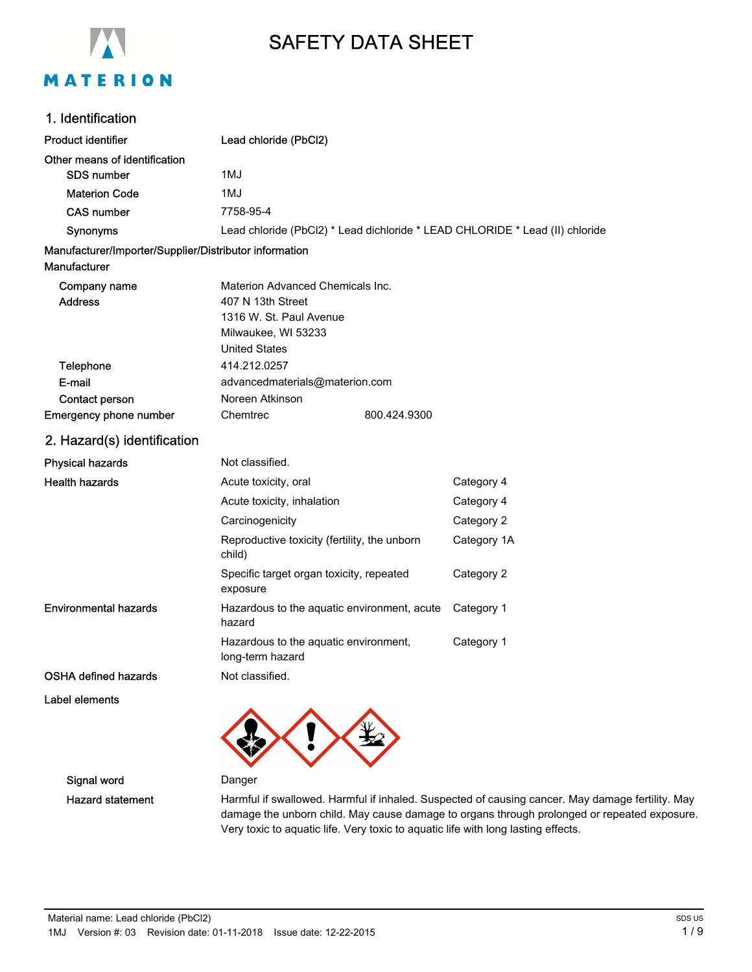

# SAFETY DATA SHEET

## 1. Identification

| <b>Product identifier</b>                                                     | Lead chloride (PbCl2)                                     |              |                                                                              |
|-------------------------------------------------------------------------------|-----------------------------------------------------------|--------------|------------------------------------------------------------------------------|
| Other means of identification                                                 |                                                           |              |                                                                              |
| <b>SDS number</b>                                                             | 1MJ                                                       |              |                                                                              |
| <b>Materion Code</b>                                                          | 1MJ                                                       |              |                                                                              |
| <b>CAS number</b>                                                             | 7758-95-4                                                 |              |                                                                              |
| Synonyms                                                                      |                                                           |              | Lead chloride (PbCl2) * Lead dichloride * LEAD CHLORIDE * Lead (II) chloride |
| Manufacturer/Importer/Supplier/Distributor information<br><b>Manufacturer</b> |                                                           |              |                                                                              |
| Company name                                                                  | Materion Advanced Chemicals Inc.                          |              |                                                                              |
| <b>Address</b>                                                                | 407 N 13th Street                                         |              |                                                                              |
|                                                                               | 1316 W. St. Paul Avenue                                   |              |                                                                              |
|                                                                               | Milwaukee, WI 53233                                       |              |                                                                              |
|                                                                               | <b>United States</b>                                      |              |                                                                              |
| Telephone                                                                     | 414.212.0257                                              |              |                                                                              |
| E-mail                                                                        | advancedmaterials@materion.com                            |              |                                                                              |
| Contact person                                                                | Noreen Atkinson                                           |              |                                                                              |
| <b>Emergency phone number</b>                                                 | Chemtrec                                                  | 800.424.9300 |                                                                              |
| 2. Hazard(s) identification                                                   |                                                           |              |                                                                              |
| <b>Physical hazards</b>                                                       | Not classified.                                           |              |                                                                              |
| <b>Health hazards</b>                                                         | Acute toxicity, oral                                      |              | Category 4                                                                   |
|                                                                               | Acute toxicity, inhalation                                |              | Category 4                                                                   |
|                                                                               | Carcinogenicity                                           |              | Category 2                                                                   |
|                                                                               | Reproductive toxicity (fertility, the unborn<br>child)    |              | Category 1A                                                                  |
|                                                                               | Specific target organ toxicity, repeated<br>exposure      |              | Category 2                                                                   |
| <b>Environmental hazards</b>                                                  | Hazardous to the aquatic environment, acute<br>hazard     |              | Category 1                                                                   |
|                                                                               | Hazardous to the aquatic environment,<br>long-term hazard |              | Category 1                                                                   |
| <b>OSHA defined hazards</b>                                                   | Not classified.                                           |              |                                                                              |
| Label elements                                                                |                                                           |              |                                                                              |

Signal word Danger

Hazard statement Harmful if swallowed. Harmful if inhaled. Suspected of causing cancer. May damage fertility. May damage the unborn child. May cause damage to organs through prolonged or repeated exposure. Very toxic to aquatic life. Very toxic to aquatic life with long lasting effects.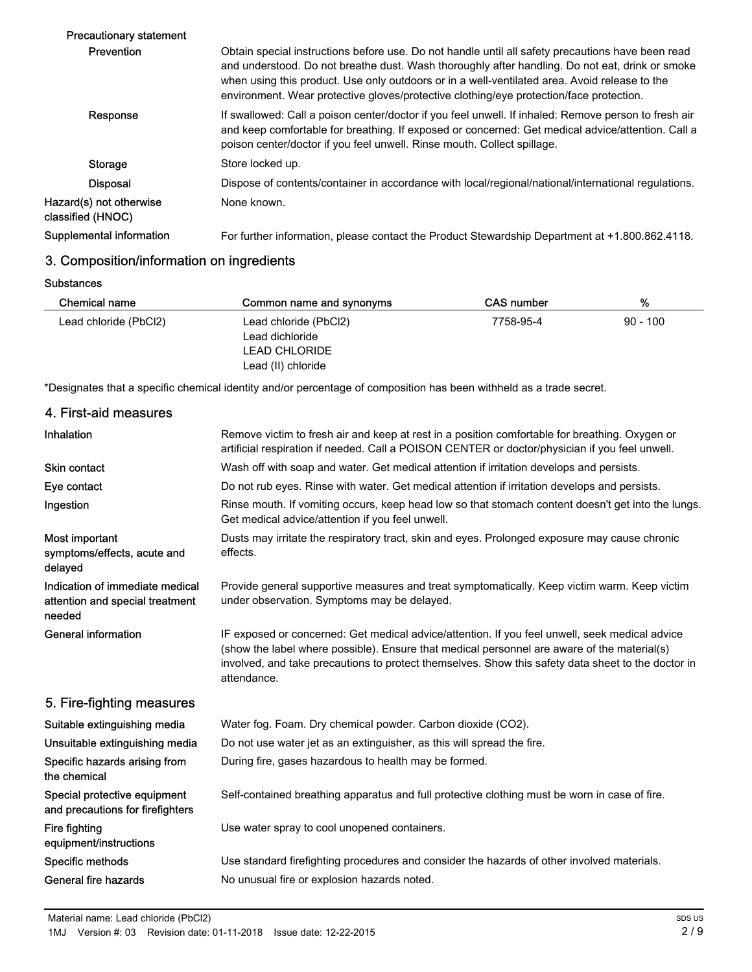| <b>Precautionary statement</b>               |                                                                                                                                                                                                                                                                                                                                                                                                  |
|----------------------------------------------|--------------------------------------------------------------------------------------------------------------------------------------------------------------------------------------------------------------------------------------------------------------------------------------------------------------------------------------------------------------------------------------------------|
| Prevention                                   | Obtain special instructions before use. Do not handle until all safety precautions have been read<br>and understood. Do not breathe dust. Wash thoroughly after handling. Do not eat, drink or smoke<br>when using this product. Use only outdoors or in a well-ventilated area. Avoid release to the<br>environment. Wear protective gloves/protective clothing/eye protection/face protection. |
| Response                                     | If swallowed: Call a poison center/doctor if you feel unwell. If inhaled: Remove person to fresh air<br>and keep comfortable for breathing. If exposed or concerned: Get medical advice/attention. Call a<br>poison center/doctor if you feel unwell. Rinse mouth. Collect spillage.                                                                                                             |
| Storage                                      | Store locked up.                                                                                                                                                                                                                                                                                                                                                                                 |
| <b>Disposal</b>                              | Dispose of contents/container in accordance with local/regional/national/international regulations.                                                                                                                                                                                                                                                                                              |
| Hazard(s) not otherwise<br>classified (HNOC) | None known.                                                                                                                                                                                                                                                                                                                                                                                      |
| Supplemental information                     | For further information, please contact the Product Stewardship Department at +1.800.862.4118.                                                                                                                                                                                                                                                                                                   |
|                                              |                                                                                                                                                                                                                                                                                                                                                                                                  |

## 3. Composition/information on ingredients

**Substances** 

| Chemical name         | Common name and synonyms | CAS number | %          |
|-----------------------|--------------------------|------------|------------|
| Lead chloride (PbCl2) | Lead chloride (PbCl2)    | 7758-95-4  | $90 - 100$ |
|                       | Lead dichloride          |            |            |
|                       | <b>LEAD CHLORIDE</b>     |            |            |
|                       | Lead (II) chloride       |            |            |

\*Designates that a specific chemical identity and/or percentage of composition has been withheld as a trade secret.

| 4. First-aid measures                                                        |                                                                                                                                                                                                                                                                                                                    |
|------------------------------------------------------------------------------|--------------------------------------------------------------------------------------------------------------------------------------------------------------------------------------------------------------------------------------------------------------------------------------------------------------------|
| Inhalation                                                                   | Remove victim to fresh air and keep at rest in a position comfortable for breathing. Oxygen or<br>artificial respiration if needed. Call a POISON CENTER or doctor/physician if you feel unwell.                                                                                                                   |
| <b>Skin contact</b>                                                          | Wash off with soap and water. Get medical attention if irritation develops and persists.                                                                                                                                                                                                                           |
| Eye contact                                                                  | Do not rub eyes. Rinse with water. Get medical attention if irritation develops and persists.                                                                                                                                                                                                                      |
| Ingestion                                                                    | Rinse mouth. If vomiting occurs, keep head low so that stomach content doesn't get into the lungs.<br>Get medical advice/attention if you feel unwell.                                                                                                                                                             |
| Most important<br>symptoms/effects, acute and<br>delayed                     | Dusts may irritate the respiratory tract, skin and eyes. Prolonged exposure may cause chronic<br>effects.                                                                                                                                                                                                          |
| Indication of immediate medical<br>attention and special treatment<br>needed | Provide general supportive measures and treat symptomatically. Keep victim warm. Keep victim<br>under observation. Symptoms may be delayed.                                                                                                                                                                        |
| <b>General information</b>                                                   | IF exposed or concerned: Get medical advice/attention. If you feel unwell, seek medical advice<br>(show the label where possible). Ensure that medical personnel are aware of the material(s)<br>involved, and take precautions to protect themselves. Show this safety data sheet to the doctor in<br>attendance. |
| 5. Fire-fighting measures                                                    |                                                                                                                                                                                                                                                                                                                    |
| Suitable extinguishing media                                                 | Water fog. Foam. Dry chemical powder. Carbon dioxide (CO2).                                                                                                                                                                                                                                                        |
| Unsuitable extinguishing media                                               | Do not use water jet as an extinguisher, as this will spread the fire.                                                                                                                                                                                                                                             |
| Specific hazards arising from<br>the chemical                                | During fire, gases hazardous to health may be formed.                                                                                                                                                                                                                                                              |
| Special protective equipment<br>and precautions for firefighters             | Self-contained breathing apparatus and full protective clothing must be worn in case of fire.                                                                                                                                                                                                                      |
| Fire fighting<br>equipment/instructions                                      | Use water spray to cool unopened containers.                                                                                                                                                                                                                                                                       |
| Specific methods                                                             | Use standard firefighting procedures and consider the hazards of other involved materials.                                                                                                                                                                                                                         |
| General fire hazards                                                         | No unusual fire or explosion hazards noted.                                                                                                                                                                                                                                                                        |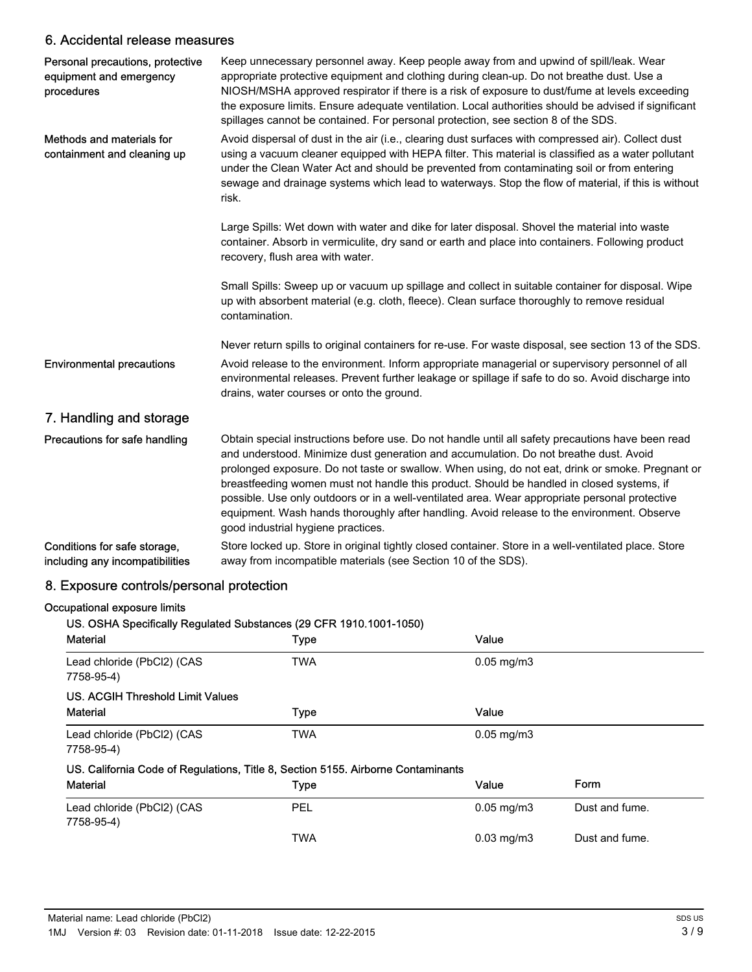## 6. Accidental release measures

| Personal precautions, protective<br>equipment and emergency<br>procedures | Keep unnecessary personnel away. Keep people away from and upwind of spill/leak. Wear<br>appropriate protective equipment and clothing during clean-up. Do not breathe dust. Use a<br>NIOSH/MSHA approved respirator if there is a risk of exposure to dust/fume at levels exceeding<br>the exposure limits. Ensure adequate ventilation. Local authorities should be advised if significant<br>spillages cannot be contained. For personal protection, see section 8 of the SDS.                                                                                                                                                 |
|---------------------------------------------------------------------------|-----------------------------------------------------------------------------------------------------------------------------------------------------------------------------------------------------------------------------------------------------------------------------------------------------------------------------------------------------------------------------------------------------------------------------------------------------------------------------------------------------------------------------------------------------------------------------------------------------------------------------------|
| Methods and materials for<br>containment and cleaning up                  | Avoid dispersal of dust in the air (i.e., clearing dust surfaces with compressed air). Collect dust<br>using a vacuum cleaner equipped with HEPA filter. This material is classified as a water pollutant<br>under the Clean Water Act and should be prevented from contaminating soil or from entering<br>sewage and drainage systems which lead to waterways. Stop the flow of material, if this is without<br>risk.                                                                                                                                                                                                            |
|                                                                           | Large Spills: Wet down with water and dike for later disposal. Shovel the material into waste<br>container. Absorb in vermiculite, dry sand or earth and place into containers. Following product<br>recovery, flush area with water.                                                                                                                                                                                                                                                                                                                                                                                             |
|                                                                           | Small Spills: Sweep up or vacuum up spillage and collect in suitable container for disposal. Wipe<br>up with absorbent material (e.g. cloth, fleece). Clean surface thoroughly to remove residual<br>contamination.                                                                                                                                                                                                                                                                                                                                                                                                               |
|                                                                           | Never return spills to original containers for re-use. For waste disposal, see section 13 of the SDS.                                                                                                                                                                                                                                                                                                                                                                                                                                                                                                                             |
| <b>Environmental precautions</b>                                          | Avoid release to the environment. Inform appropriate managerial or supervisory personnel of all<br>environmental releases. Prevent further leakage or spillage if safe to do so. Avoid discharge into<br>drains, water courses or onto the ground.                                                                                                                                                                                                                                                                                                                                                                                |
| 7. Handling and storage                                                   |                                                                                                                                                                                                                                                                                                                                                                                                                                                                                                                                                                                                                                   |
| Precautions for safe handling                                             | Obtain special instructions before use. Do not handle until all safety precautions have been read<br>and understood. Minimize dust generation and accumulation. Do not breathe dust. Avoid<br>prolonged exposure. Do not taste or swallow. When using, do not eat, drink or smoke. Pregnant or<br>breastfeeding women must not handle this product. Should be handled in closed systems, if<br>possible. Use only outdoors or in a well-ventilated area. Wear appropriate personal protective<br>equipment. Wash hands thoroughly after handling. Avoid release to the environment. Observe<br>good industrial hygiene practices. |
| Conditions for safe storage,<br>including any incompatibilities           | Store locked up. Store in original tightly closed container. Store in a well-ventilated place. Store<br>away from incompatible materials (see Section 10 of the SDS).                                                                                                                                                                                                                                                                                                                                                                                                                                                             |

## 8. Exposure controls/personal protection

### Occupational exposure limits

| <b>Material</b>                                                                  | <b>Type</b> | Value                  |                |
|----------------------------------------------------------------------------------|-------------|------------------------|----------------|
| Lead chloride (PbCl2) (CAS<br>7758-95-4)                                         | <b>TWA</b>  | $0.05 \,\mathrm{mg/m}$ |                |
| US. ACGIH Threshold Limit Values                                                 |             |                        |                |
| <b>Material</b>                                                                  | <b>Type</b> | Value                  |                |
| Lead chloride (PbCl2) (CAS<br>7758-95-4)                                         | <b>TWA</b>  | $0.05 \,\mathrm{mg/m}$ |                |
| US. California Code of Regulations, Title 8, Section 5155. Airborne Contaminants |             |                        |                |
| <b>Material</b>                                                                  | Type        | Value                  | Form           |
| Lead chloride (PbCl2) (CAS<br>7758-95-4)                                         | <b>PEL</b>  | $0.05$ mg/m $3$        | Dust and fume. |
|                                                                                  | TWA         | $0.03$ mg/m $3$        | Dust and fume. |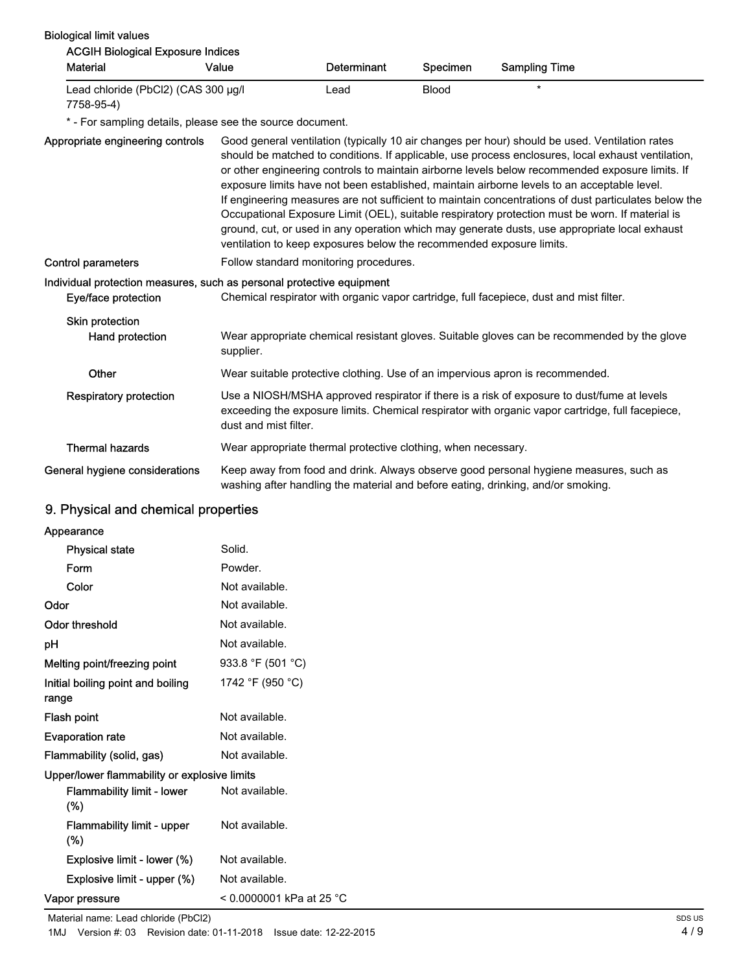| <b>Biological limit values</b><br><b>ACGIH Biological Exposure Indices</b>                   |                                                                      |                    |              |                                                                                                                                                                                                                                                                                                                                                                                                                                                                                                                                                                                                                                                                                                                    |
|----------------------------------------------------------------------------------------------|----------------------------------------------------------------------|--------------------|--------------|--------------------------------------------------------------------------------------------------------------------------------------------------------------------------------------------------------------------------------------------------------------------------------------------------------------------------------------------------------------------------------------------------------------------------------------------------------------------------------------------------------------------------------------------------------------------------------------------------------------------------------------------------------------------------------------------------------------------|
| <b>Material</b>                                                                              | Value                                                                | <b>Determinant</b> | Specimen     | <b>Sampling Time</b>                                                                                                                                                                                                                                                                                                                                                                                                                                                                                                                                                                                                                                                                                               |
| Lead chloride (PbCl2) (CAS 300 µg/l<br>7758-95-4)                                            |                                                                      | Lead               | <b>Blood</b> | $\star$                                                                                                                                                                                                                                                                                                                                                                                                                                                                                                                                                                                                                                                                                                            |
| * - For sampling details, please see the source document.                                    |                                                                      |                    |              |                                                                                                                                                                                                                                                                                                                                                                                                                                                                                                                                                                                                                                                                                                                    |
| Appropriate engineering controls                                                             | ventilation to keep exposures below the recommended exposure limits. |                    |              | Good general ventilation (typically 10 air changes per hour) should be used. Ventilation rates<br>should be matched to conditions. If applicable, use process enclosures, local exhaust ventilation,<br>or other engineering controls to maintain airborne levels below recommended exposure limits. If<br>exposure limits have not been established, maintain airborne levels to an acceptable level.<br>If engineering measures are not sufficient to maintain concentrations of dust particulates below the<br>Occupational Exposure Limit (OEL), suitable respiratory protection must be worn. If material is<br>ground, cut, or used in any operation which may generate dusts, use appropriate local exhaust |
| Control parameters                                                                           | Follow standard monitoring procedures.                               |                    |              |                                                                                                                                                                                                                                                                                                                                                                                                                                                                                                                                                                                                                                                                                                                    |
| Individual protection measures, such as personal protective equipment<br>Eye/face protection |                                                                      |                    |              | Chemical respirator with organic vapor cartridge, full facepiece, dust and mist filter.                                                                                                                                                                                                                                                                                                                                                                                                                                                                                                                                                                                                                            |
| Skin protection<br>Hand protection                                                           | supplier.                                                            |                    |              | Wear appropriate chemical resistant gloves. Suitable gloves can be recommended by the glove                                                                                                                                                                                                                                                                                                                                                                                                                                                                                                                                                                                                                        |
| Other                                                                                        |                                                                      |                    |              | Wear suitable protective clothing. Use of an impervious apron is recommended.                                                                                                                                                                                                                                                                                                                                                                                                                                                                                                                                                                                                                                      |
| <b>Respiratory protection</b>                                                                | dust and mist filter.                                                |                    |              | Use a NIOSH/MSHA approved respirator if there is a risk of exposure to dust/fume at levels<br>exceeding the exposure limits. Chemical respirator with organic vapor cartridge, full facepiece,                                                                                                                                                                                                                                                                                                                                                                                                                                                                                                                     |
| <b>Thermal hazards</b>                                                                       | Wear appropriate thermal protective clothing, when necessary.        |                    |              |                                                                                                                                                                                                                                                                                                                                                                                                                                                                                                                                                                                                                                                                                                                    |
| General hygiene considerations                                                               |                                                                      |                    |              | Keep away from food and drink. Always observe good personal hygiene measures, such as<br>washing after handling the material and before eating, drinking, and/or smoking.                                                                                                                                                                                                                                                                                                                                                                                                                                                                                                                                          |

## 9. Physical and chemical properties

| Appearance                                   |                            |
|----------------------------------------------|----------------------------|
| <b>Physical state</b>                        | Solid.                     |
| Form                                         | Powder.                    |
| Color                                        | Not available.             |
| Odor                                         | Not available.             |
| Odor threshold                               | Not available.             |
| рH                                           | Not available.             |
| Melting point/freezing point                 | 933.8 °F (501 °C)          |
| Initial boiling point and boiling<br>range   | 1742 °F (950 °C)           |
| Flash point                                  | Not available.             |
| <b>Evaporation rate</b>                      | Not available.             |
| Flammability (solid, gas)                    | Not available.             |
| Upper/lower flammability or explosive limits |                            |
| <b>Flammability limit - lower</b><br>$(\%)$  | Not available.             |
| Flammability limit - upper<br>$(\%)$         | Not available.             |
| Explosive limit - lower (%)                  | Not available.             |
| Explosive limit - upper (%)                  | Not available.             |
| Vapor pressure                               | $< 0.0000001$ kPa at 25 °C |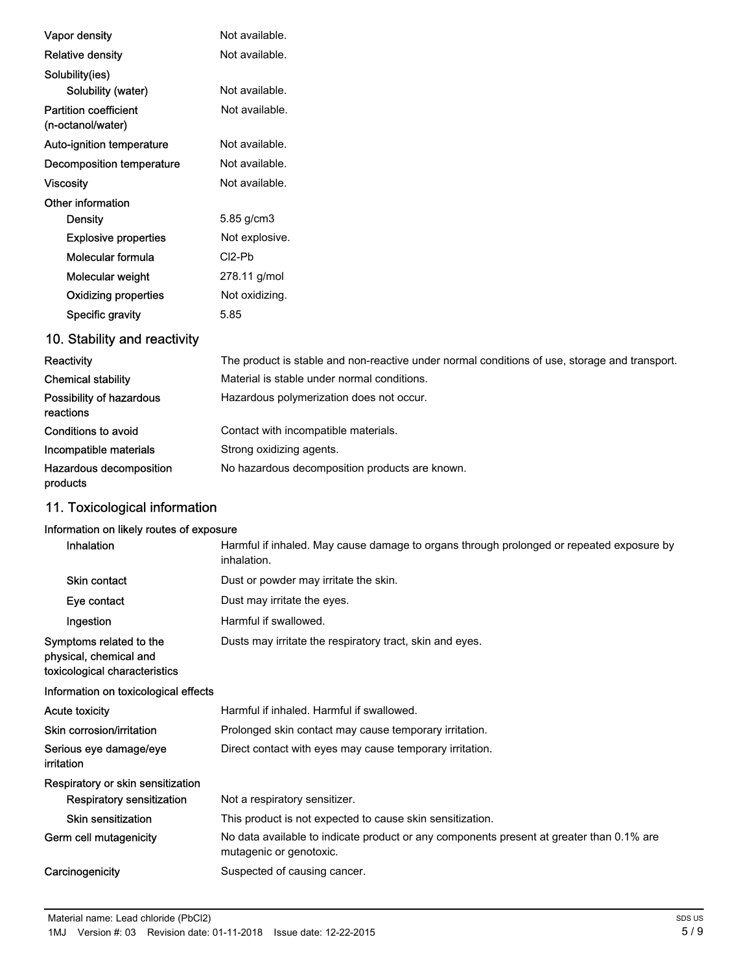| Vapor density                                     | Not available.                  |
|---------------------------------------------------|---------------------------------|
| <b>Relative density</b>                           | Not available.                  |
| Solubility(ies)                                   |                                 |
| Solubility (water)                                | Not available.                  |
| <b>Partition coefficient</b><br>(n-octanol/water) | Not available.                  |
| Auto-ignition temperature                         | Not available.                  |
| Decomposition temperature                         | Not available.                  |
| <b>Viscosity</b>                                  | Not available.                  |
| Other information                                 |                                 |
| <b>Density</b>                                    | 5.85 g/cm3                      |
| <b>Explosive properties</b>                       | Not explosive.                  |
| Molecular formula                                 | CI <sub>2</sub> -P <sub>b</sub> |
| Molecular weight                                  | 278.11 g/mol                    |
| <b>Oxidizing properties</b>                       | Not oxidizing.                  |
| Specific gravity                                  | 5.85                            |
| 10. Stability and reactivity                      |                                 |

| Reactivity                            | The product is stable and non-reactive under normal conditions of use, storage and transport. |
|---------------------------------------|-----------------------------------------------------------------------------------------------|
| <b>Chemical stability</b>             | Material is stable under normal conditions.                                                   |
| Possibility of hazardous<br>reactions | Hazardous polymerization does not occur.                                                      |
| Conditions to avoid                   | Contact with incompatible materials.                                                          |
| Incompatible materials                | Strong oxidizing agents.                                                                      |
| Hazardous decomposition<br>products   | No hazardous decomposition products are known.                                                |

## 11. Toxicological information

## Information on likely routes of exposure

| <b>Inhalation</b>                                                                  | Harmful if inhaled. May cause damage to organs through prolonged or repeated exposure by<br>inhalation.             |
|------------------------------------------------------------------------------------|---------------------------------------------------------------------------------------------------------------------|
| <b>Skin contact</b>                                                                | Dust or powder may irritate the skin.                                                                               |
| Eye contact                                                                        | Dust may irritate the eyes.                                                                                         |
| Ingestion                                                                          | Harmful if swallowed.                                                                                               |
| Symptoms related to the<br>physical, chemical and<br>toxicological characteristics | Dusts may irritate the respiratory tract, skin and eyes.                                                            |
| Information on toxicological effects                                               |                                                                                                                     |
| <b>Acute toxicity</b>                                                              | Harmful if inhaled. Harmful if swallowed.                                                                           |
| Skin corrosion/irritation                                                          | Prolonged skin contact may cause temporary irritation.                                                              |
| Serious eye damage/eye<br>irritation                                               | Direct contact with eyes may cause temporary irritation.                                                            |
| Respiratory or skin sensitization                                                  |                                                                                                                     |
| Respiratory sensitization                                                          | Not a respiratory sensitizer.                                                                                       |
| Skin sensitization                                                                 | This product is not expected to cause skin sensitization.                                                           |
| Germ cell mutagenicity                                                             | No data available to indicate product or any components present at greater than 0.1% are<br>mutagenic or genotoxic. |
| Carcinogenicity                                                                    | Suspected of causing cancer.                                                                                        |
|                                                                                    |                                                                                                                     |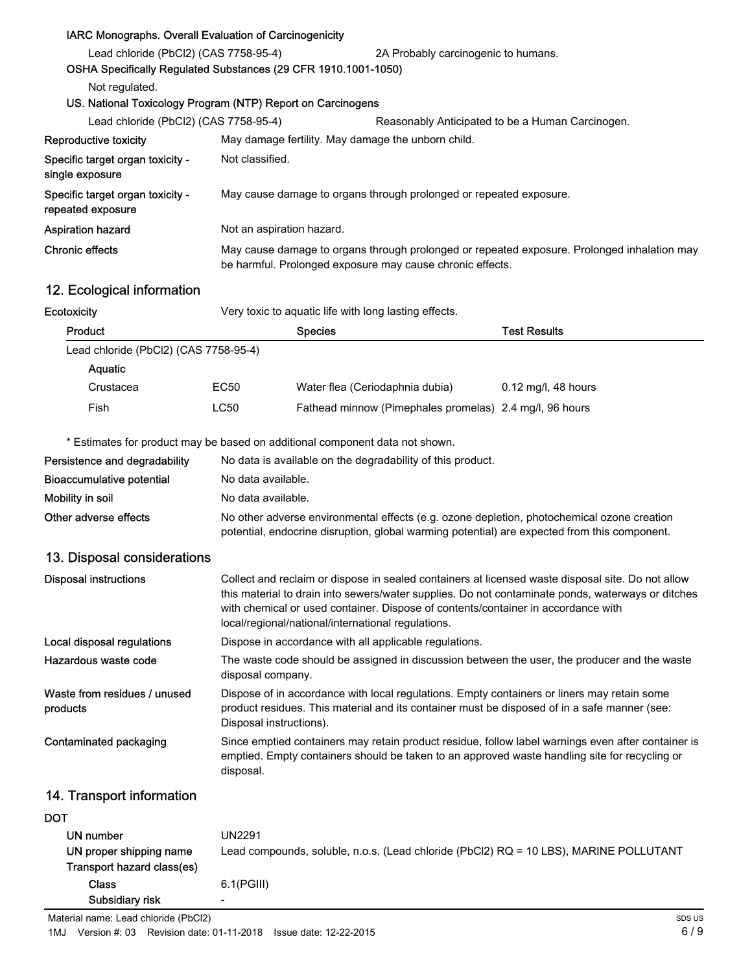### IARC Monographs. Overall Evaluation of Carcinogenicity

| Lead chloride (PbCl2) (CAS 7758-95-4)                          |                                                                    | 2A Probably carcinogenic to humans.                                                                                                                      |  |  |
|----------------------------------------------------------------|--------------------------------------------------------------------|----------------------------------------------------------------------------------------------------------------------------------------------------------|--|--|
| OSHA Specifically Regulated Substances (29 CFR 1910.1001-1050) |                                                                    |                                                                                                                                                          |  |  |
| Not regulated.                                                 |                                                                    |                                                                                                                                                          |  |  |
|                                                                | US. National Toxicology Program (NTP) Report on Carcinogens        |                                                                                                                                                          |  |  |
| Lead chloride (PbCl2) (CAS 7758-95-4)                          |                                                                    | Reasonably Anticipated to be a Human Carcinogen.                                                                                                         |  |  |
| Reproductive toxicity                                          | May damage fertility. May damage the unborn child.                 |                                                                                                                                                          |  |  |
| Specific target organ toxicity -<br>single exposure            | Not classified.                                                    |                                                                                                                                                          |  |  |
| Specific target organ toxicity -<br>repeated exposure          | May cause damage to organs through prolonged or repeated exposure. |                                                                                                                                                          |  |  |
| <b>Aspiration hazard</b>                                       | Not an aspiration hazard.                                          |                                                                                                                                                          |  |  |
| Chronic effects                                                |                                                                    | May cause damage to organs through prolonged or repeated exposure. Prolonged inhalation may<br>be harmful. Prolonged exposure may cause chronic effects. |  |  |

## 12. Ecological information

Ecotoxicity **Ecotoxicity** Very toxic to aquatic life with long lasting effects.

| Product                               |      | <b>Species</b>                                          | <b>Test Results</b>   |
|---------------------------------------|------|---------------------------------------------------------|-----------------------|
| Lead chloride (PbCl2) (CAS 7758-95-4) |      |                                                         |                       |
| Aquatic                               |      |                                                         |                       |
| Crustacea                             | EC50 | Water flea (Ceriodaphnia dubia)                         | $0.12$ mg/l, 48 hours |
| Fish                                  | LC50 | Fathead minnow (Pimephales promelas) 2.4 mg/l, 96 hours |                       |

\* Estimates for product may be based on additional component data not shown.

| Persistence and degradability | No data is available on the degradability of this product.                                                                                                                                 |  |
|-------------------------------|--------------------------------------------------------------------------------------------------------------------------------------------------------------------------------------------|--|
| Bioaccumulative potential     | No data available.                                                                                                                                                                         |  |
| Mobility in soil              | No data available.                                                                                                                                                                         |  |
| Other adverse effects         | No other adverse environmental effects (e.g. ozone depletion, photochemical ozone creation<br>potential, endocrine disruption, global warming potential) are expected from this component. |  |

## 13. Disposal considerations

| <b>Disposal instructions</b>             | Collect and reclaim or dispose in sealed containers at licensed waste disposal site. Do not allow<br>this material to drain into sewers/water supplies. Do not contaminate ponds, waterways or ditches<br>with chemical or used container. Dispose of contents/container in accordance with<br>local/regional/national/international regulations. |
|------------------------------------------|---------------------------------------------------------------------------------------------------------------------------------------------------------------------------------------------------------------------------------------------------------------------------------------------------------------------------------------------------|
| Local disposal regulations               | Dispose in accordance with all applicable regulations.                                                                                                                                                                                                                                                                                            |
| Hazardous waste code                     | The waste code should be assigned in discussion between the user, the producer and the waste<br>disposal company.                                                                                                                                                                                                                                 |
| Waste from residues / unused<br>products | Dispose of in accordance with local regulations. Empty containers or liners may retain some<br>product residues. This material and its container must be disposed of in a safe manner (see:<br>Disposal instructions).                                                                                                                            |
| Contaminated packaging                   | Since emptied containers may retain product residue, follow label warnings even after container is<br>emptied. Empty containers should be taken to an approved waste handling site for recycling or<br>disposal.                                                                                                                                  |

## 14. Transport information

### **DOT**

| UN number<br>UN proper shipping name<br>Transport hazard class(es) | UN2291<br>Lead compounds, soluble, n.o.s. (Lead chloride (PbCl2) RQ = 10 LBS), MARINE POLLUTANT |
|--------------------------------------------------------------------|-------------------------------------------------------------------------------------------------|
| Class                                                              | $6.1$ (PGIII)                                                                                   |
| Subsidiary risk                                                    | -                                                                                               |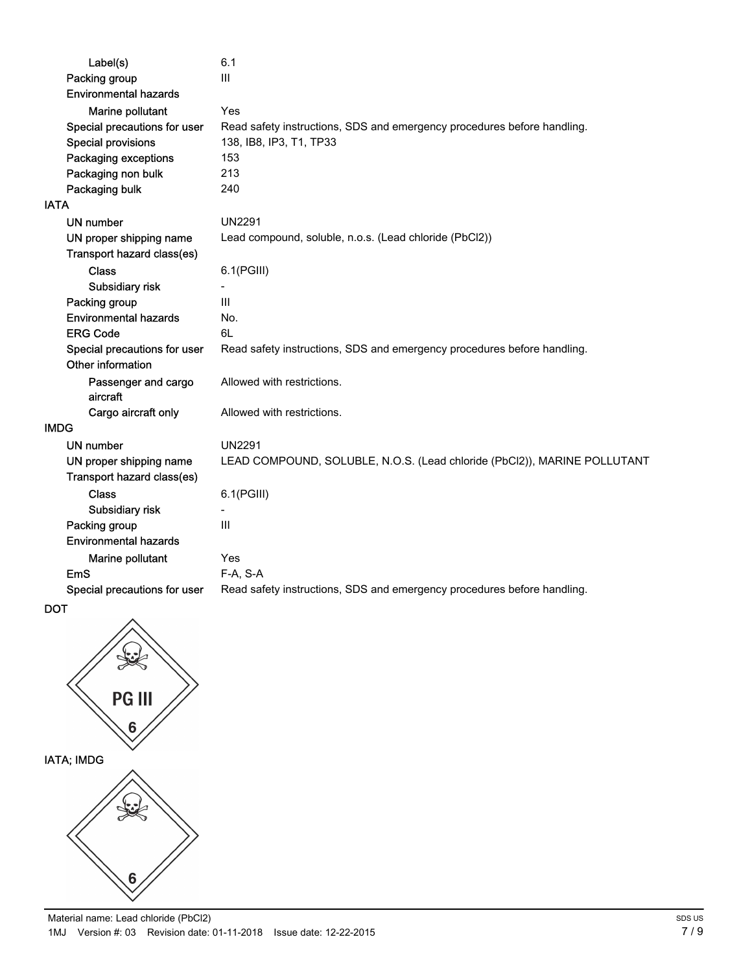| Label(s)                     | 6.1                                                                      |  |
|------------------------------|--------------------------------------------------------------------------|--|
| Packing group                | Ш                                                                        |  |
| <b>Environmental hazards</b> |                                                                          |  |
| Marine pollutant             | Yes                                                                      |  |
| Special precautions for user | Read safety instructions, SDS and emergency procedures before handling.  |  |
| <b>Special provisions</b>    | 138, IB8, IP3, T1, TP33                                                  |  |
| Packaging exceptions         | 153                                                                      |  |
| Packaging non bulk           | 213                                                                      |  |
| Packaging bulk               | 240                                                                      |  |
| <b>IATA</b>                  |                                                                          |  |
| <b>UN number</b>             | <b>UN2291</b>                                                            |  |
| UN proper shipping name      | Lead compound, soluble, n.o.s. (Lead chloride (PbCl2))                   |  |
| Transport hazard class(es)   |                                                                          |  |
| <b>Class</b>                 | $6.1$ (PGIII)                                                            |  |
| Subsidiary risk              |                                                                          |  |
| Packing group                | III                                                                      |  |
| <b>Environmental hazards</b> | No.                                                                      |  |
| <b>ERG Code</b>              | 6L                                                                       |  |
| Special precautions for user | Read safety instructions, SDS and emergency procedures before handling.  |  |
| Other information            |                                                                          |  |
| Passenger and cargo          | Allowed with restrictions.                                               |  |
| aircraft                     |                                                                          |  |
| Cargo aircraft only          | Allowed with restrictions.                                               |  |
| <b>IMDG</b>                  |                                                                          |  |
| <b>UN number</b>             | <b>UN2291</b>                                                            |  |
| UN proper shipping name      | LEAD COMPOUND, SOLUBLE, N.O.S. (Lead chloride (PbCl2)), MARINE POLLUTANT |  |
| Transport hazard class(es)   |                                                                          |  |
| Class                        | 6.1(PGIII)                                                               |  |
| Subsidiary risk              |                                                                          |  |
| Packing group                | $\mathsf{III}$                                                           |  |
| <b>Environmental hazards</b> |                                                                          |  |
| Marine pollutant             | Yes                                                                      |  |
| <b>EmS</b>                   | F-A, S-A                                                                 |  |
| Special precautions for user | Read safety instructions, SDS and emergency procedures before handling.  |  |



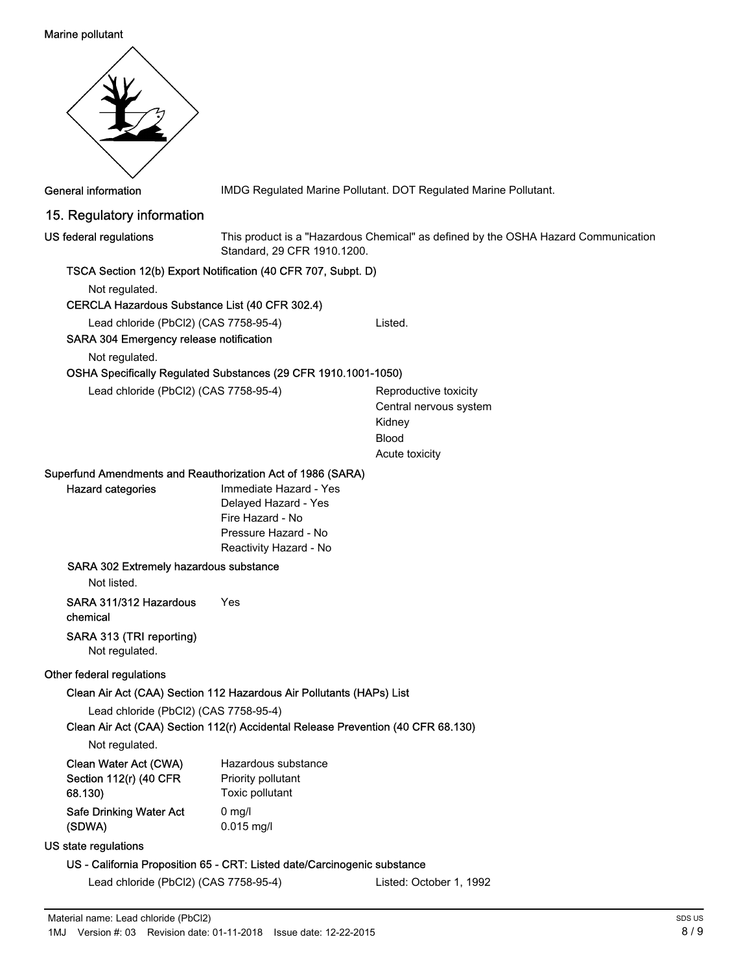#### Marine pollutant



General information **IMDG Regulated Marine Pollutant. DOT Regulated Marine Pollutant.** 

## 15. Regulatory information

US federal regulations

This product is a "Hazardous Chemical" as defined by the OSHA Hazard Communication Standard, 29 CFR 1910.1200.

### TSCA Section 12(b) Export Notification (40 CFR 707, Subpt. D)

Not regulated.

#### CERCLA Hazardous Substance List (40 CFR 302.4)

Lead chloride (PbCl2) (CAS 7758-95-4) Listed.

SARA 304 Emergency release notification

Not regulated.

#### OSHA Specifically Regulated Substances (29 CFR 1910.1001-1050)

Lead chloride (PbCl2) (CAS 7758-95-4) Reproductive toxicity

Central nervous system Kidney Blood Acute toxicity

#### Superfund Amendments and Reauthorization Act of 1986 (SARA)

Immediate Hazard - Yes Delayed Hazard - Yes Fire Hazard - No Pressure Hazard - No Reactivity Hazard - No

#### SARA 302 Extremely hazardous substance

Not listed.

Hazard categories

SARA 311/312 Hazardous Yes

chemical

#### SARA 313 (TRI reporting)

Not regulated.

#### Other federal regulations

#### Clean Air Act (CAA) Section 112 Hazardous Air Pollutants (HAPs) List

Lead chloride (PbCl2) (CAS 7758-95-4)

Clean Air Act (CAA) Section 112(r) Accidental Release Prevention (40 CFR 68.130)

Not regulated.

| Clean Water Act (CWA)   | Hazardous substance |  |
|-------------------------|---------------------|--|
| Section 112(r) (40 CFR  | Priority pollutant  |  |
| 68.130)                 | Toxic pollutant     |  |
| Safe Drinking Water Act | $0 \text{ mq/l}$    |  |
| (SDWA)                  | $0.015$ mg/l        |  |
|                         |                     |  |

#### US state regulations

#### US - California Proposition 65 - CRT: Listed date/Carcinogenic substance

Lead chloride (PbCl2) (CAS 7758-95-4) Listed: October 1, 1992